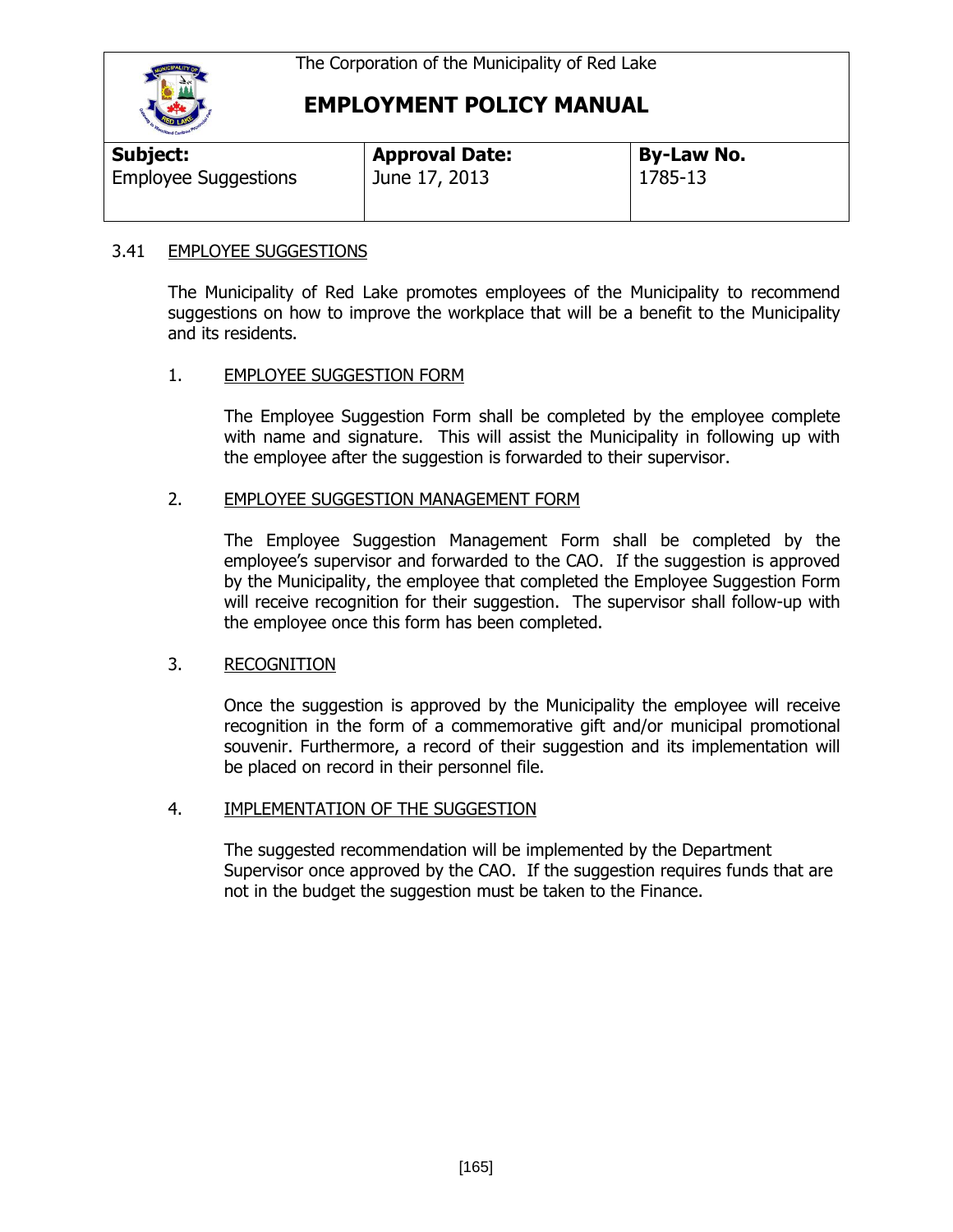

### **EMPLOYMENT POLICY MANUAL**

| Subject:                    | <b>Approval Date:</b> | <b>By-Law No.</b> |  |
|-----------------------------|-----------------------|-------------------|--|
| <b>Employee Suggestions</b> | June 17, 2013         | 1785-13           |  |

#### 3.41 EMPLOYEE SUGGESTIONS

The Municipality of Red Lake promotes employees of the Municipality to recommend suggestions on how to improve the workplace that will be a benefit to the Municipality and its residents.

#### 1. EMPLOYEE SUGGESTION FORM

The Employee Suggestion Form shall be completed by the employee complete with name and signature. This will assist the Municipality in following up with the employee after the suggestion is forwarded to their supervisor.

#### 2. EMPLOYEE SUGGESTION MANAGEMENT FORM

The Employee Suggestion Management Form shall be completed by the employee's supervisor and forwarded to the CAO. If the suggestion is approved by the Municipality, the employee that completed the Employee Suggestion Form will receive recognition for their suggestion. The supervisor shall follow-up with the employee once this form has been completed.

#### 3. RECOGNITION

Once the suggestion is approved by the Municipality the employee will receive recognition in the form of a commemorative gift and/or municipal promotional souvenir. Furthermore, a record of their suggestion and its implementation will be placed on record in their personnel file.

#### 4. IMPLEMENTATION OF THE SUGGESTION

The suggested recommendation will be implemented by the Department Supervisor once approved by the CAO. If the suggestion requires funds that are not in the budget the suggestion must be taken to the Finance.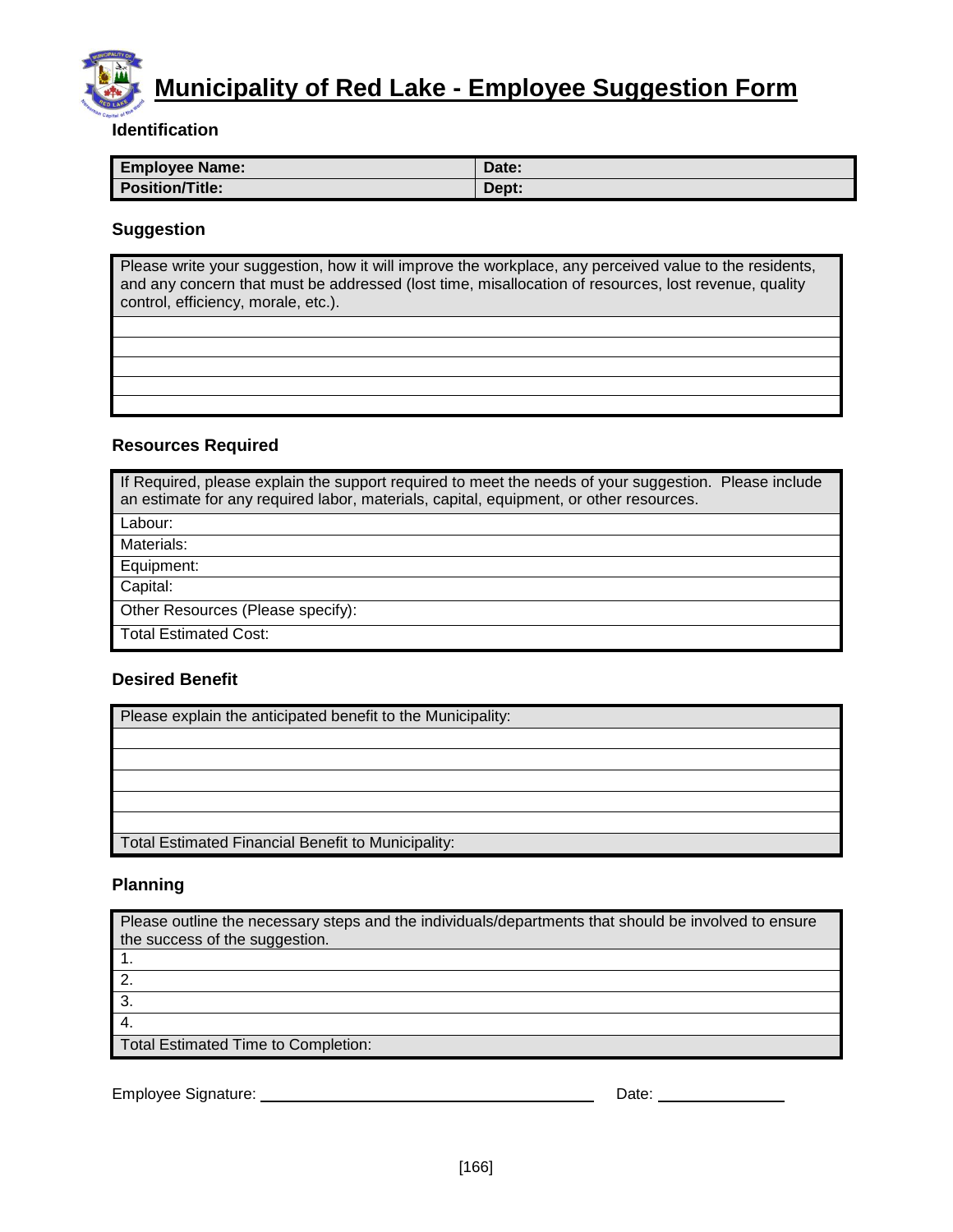# **Municipality of Red Lake - Employee Suggestion Form**

#### **Identification**

| <b>Employee Name:</b>  | Date: |
|------------------------|-------|
| <b>Position/Title:</b> | Dept: |

#### **Suggestion**

Please write your suggestion, how it will improve the workplace, any perceived value to the residents, and any concern that must be addressed (lost time, misallocation of resources, lost revenue, quality control, efficiency, morale, etc.).

#### **Resources Required**

| If Required, please explain the support required to meet the needs of your suggestion. Please include<br>an estimate for any required labor, materials, capital, equipment, or other resources. |  |  |
|-------------------------------------------------------------------------------------------------------------------------------------------------------------------------------------------------|--|--|
| Labour:                                                                                                                                                                                         |  |  |
| Materials:                                                                                                                                                                                      |  |  |
| Equipment:                                                                                                                                                                                      |  |  |
| Capital:                                                                                                                                                                                        |  |  |
| Other Resources (Please specify):                                                                                                                                                               |  |  |
| <b>Total Estimated Cost:</b>                                                                                                                                                                    |  |  |

#### **Desired Benefit**

| Please explain the anticipated benefit to the Municipality: |  |
|-------------------------------------------------------------|--|
|                                                             |  |
|                                                             |  |
|                                                             |  |
|                                                             |  |
|                                                             |  |
| Total Estimated Financial Benefit to Municipality:          |  |

#### **Planning**

| Please outline the necessary steps and the individuals/departments that should be involved to ensure<br>the success of the suggestion. |       |  |
|----------------------------------------------------------------------------------------------------------------------------------------|-------|--|
| -1.                                                                                                                                    |       |  |
| 2.                                                                                                                                     |       |  |
| $\overline{3}$ .                                                                                                                       |       |  |
| $\overline{4}$ .                                                                                                                       |       |  |
| Total Estimated Time to Completion:                                                                                                    |       |  |
|                                                                                                                                        |       |  |
| Employee Signature:                                                                                                                    | Date: |  |